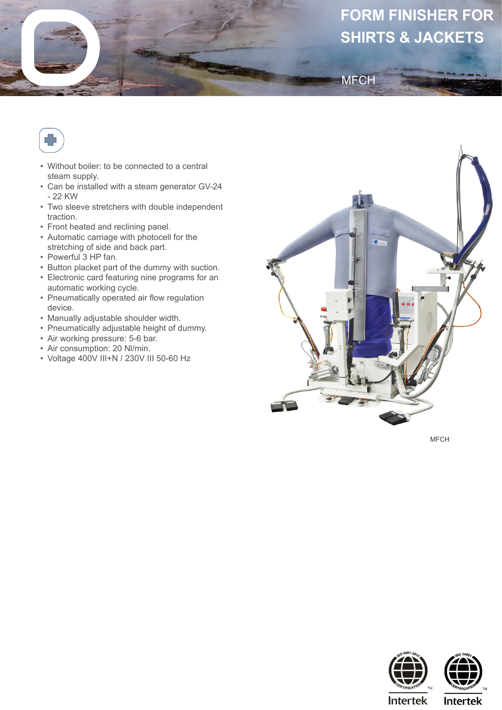## **FORM FINISHER FOR SHIRTS & JACKETS**



- Without boiler: to be connected to a central steam supply.
- Can be installed with a steam generator GV-24 - 22 KW
- Two sleeve stretchers with double independent traction.
- Front heated and reclining panel.
- Automatic carriage with photocell for the stretching of side and back part.
- Powerful 3 HP fan.
- Button placket part of the dummy with suction.
- Electronic card featuring nine programs for an automatic working cycle.
- Pneumatically operated air flow regulation device.
- Manually adjustable shoulder width.
- Pneumatically adjustable height of dummy.
- Air working pressure: 5-6 bar.
- Air consumption: 20 Nl/min.
- Voltage 400V III+N / 230V III 50-60 Hz



**MFCH** 

MFCH